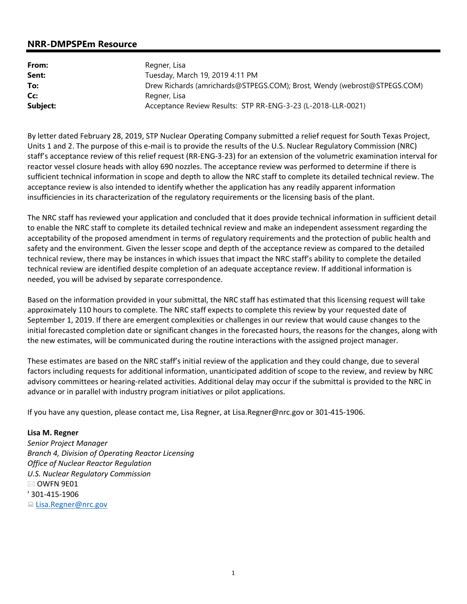## **NRR-DMPSPEm Resource**

| From:    | Regner, Lisa                                                             |
|----------|--------------------------------------------------------------------------|
| Sent:    | Tuesday, March 19, 2019 4:11 PM                                          |
| To:      | Drew Richards (amrichards@STPEGS.COM); Brost, Wendy (webrost@STPEGS.COM) |
| Cc:      | Regner, Lisa                                                             |
| Subject: | Acceptance Review Results: STP RR-ENG-3-23 (L-2018-LLR-0021)             |

By letter dated February 28, 2019, STP Nuclear Operating Company submitted a relief request for South Texas Project, Units 1 and 2. The purpose of this e-mail is to provide the results of the U.S. Nuclear Regulatory Commission (NRC) staff's acceptance review of this relief request (RR-ENG-3-23) for an extension of the volumetric examination interval for reactor vessel closure heads with alloy 690 nozzles. The acceptance review was performed to determine if there is sufficient technical information in scope and depth to allow the NRC staff to complete its detailed technical review. The acceptance review is also intended to identify whether the application has any readily apparent information insufficiencies in its characterization of the regulatory requirements or the licensing basis of the plant.

The NRC staff has reviewed your application and concluded that it does provide technical information in sufficient detail to enable the NRC staff to complete its detailed technical review and make an independent assessment regarding the acceptability of the proposed amendment in terms of regulatory requirements and the protection of public health and safety and the environment. Given the lesser scope and depth of the acceptance review as compared to the detailed technical review, there may be instances in which issues that impact the NRC staff's ability to complete the detailed technical review are identified despite completion of an adequate acceptance review. If additional information is needed, you will be advised by separate correspondence.

Based on the information provided in your submittal, the NRC staff has estimated that this licensing request will take approximately 110 hours to complete. The NRC staff expects to complete this review by your requested date of September 1, 2019. If there are emergent complexities or challenges in our review that would cause changes to the initial forecasted completion date or significant changes in the forecasted hours, the reasons for the changes, along with the new estimates, will be communicated during the routine interactions with the assigned project manager.

These estimates are based on the NRC staff's initial review of the application and they could change, due to several factors including requests for additional information, unanticipated addition of scope to the review, and review by NRC advisory committees or hearing-related activities. Additional delay may occur if the submittal is provided to the NRC in advance or in parallel with industry program initiatives or pilot applications.

If you have any question, please contact me, Lisa Regner, at Lisa.Regner@nrc.gov or 301-415-1906.

## **Lisa M. Regner**

*Senior Project Manager Branch 4, Division of Operating Reactor Licensing Office of Nuclear Reactor Regulation U.S. Nuclear Regulatory Commission*   $\boxtimes$  OWFN 9E01 ' 301-415-1906 **ELisa.Regner@nrc.gov**